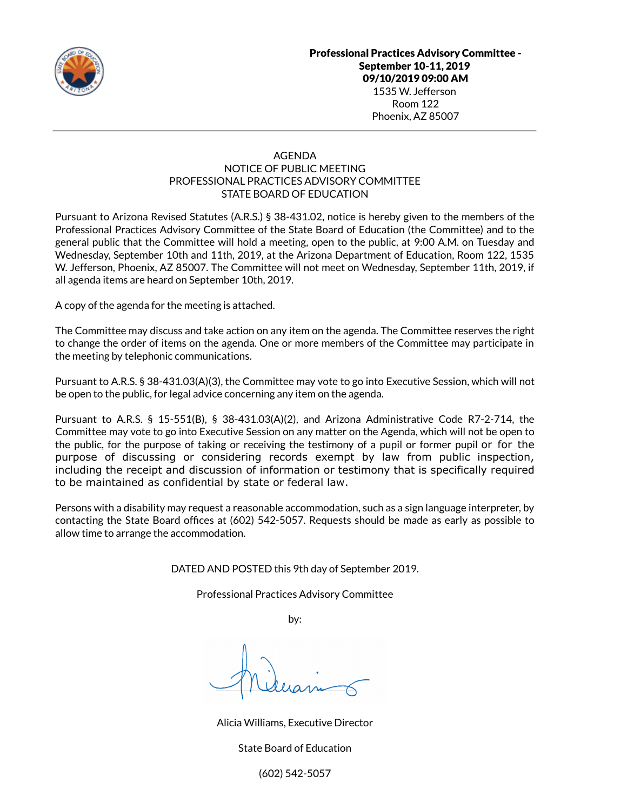

## AGENDA NOTICE OF PUBLIC MEETING PROFESSIONAL PRACTICES ADVISORY COMMITTEE STATE BOARD OF EDUCATION

Pursuant to Arizona Revised Statutes (A.R.S.) § 38-431.02, notice is hereby given to the members of the Professional Practices Advisory Committee of the State Board of Education (the Committee) and to the general public that the Committee will hold a meeting, open to the public, at 9:00 A.M. on Tuesday and Wednesday, September 10th and 11th, 2019, at the Arizona Department of Education, Room 122, 1535 W. Jefferson, Phoenix, AZ 85007. The Committee will not meet on Wednesday, September 11th, 2019, if all agenda items are heard on September 10th, 2019.

A copy of the agenda for the meeting is attached.

The Committee may discuss and take action on any item on the agenda. The Committee reserves the right to change the order of items on the agenda. One or more members of the Committee may participate in the meeting by telephonic communications.

Pursuant to A.R.S. § 38-431.03(A)(3), the Committee may vote to go into Executive Session, which will not be open to the public, for legal advice concerning any item on the agenda.

Pursuant to A.R.S. § 15-551(B), § 38-431.03(A)(2), and Arizona Administrative Code R7-2-714, the Committee may vote to go into Executive Session on any matter on the Agenda, which will not be open to the public, for the purpose of taking or receiving the testimony of a pupil or former pupil or for the purpose of discussing or considering records exempt by law from public inspection, including the receipt and discussion of information or testimony that is specifically required to be maintained as confidential by state or federal law.

Persons with a disability may request a reasonable accommodation, such as a sign language interpreter, by contacting the State Board offices at (602) 542-5057. Requests should be made as early as possible to allow time to arrange the accommodation.

DATED AND POSTED this 9th day of September 2019.

Professional Practices Advisory Committee

by:

Alicia Williams, Executive Director

State Board of Education

(602) 542-5057